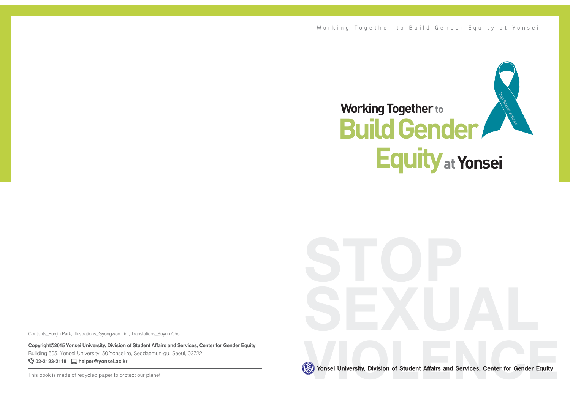

**Vonsei University, Division of Student Affairs and Services, Center for Gender Equity** 

Yonsei University, Division of Student Affairs and Services, Center for Gender Equity

Contents Eunjin Park, Illustrations Gyongwon Lim, Translations Suyun Choi

**Copyright©2015 Yonsei University, Division of Student Affairs and Services, Center for Gender Equity** Building 505, Yonsei University, 50 Yonsei-ro, Seodaemun-gu, Seoul, 03722 **02-2123-2118 helper@yonsei.ac.kr**

This book is made of recycled paper to protect our planet. This is your service of Studies, Center for Student Affairs and Services, Center for General Equity 1This book is made of recycled paper to protect our planet.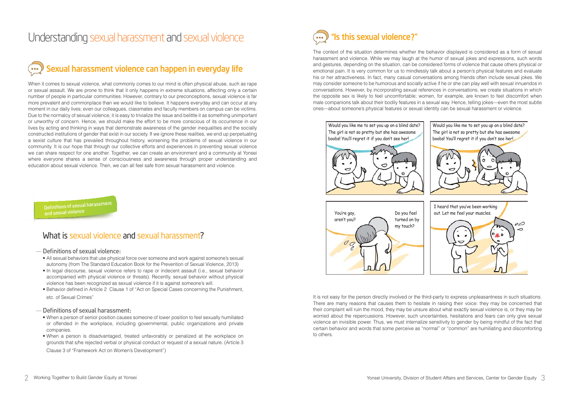# Understanding sexual harassment and sexual violence

# Sexual harassment violence can happen in everyday life

When it comes to sexual violence, what commonly comes to our mind is often physical abuse, such as rape or sexual assault. We are prone to think that it only happens in extreme situations, affecting only a certain number of people in particular communities. However, contrary to our preconceptions, sexual violence is far more prevalent and commonplace than we would like to believe. It happens everyday and can occur at any moment in our daily lives; even our colleagues, classmates and faculty members on campus can be victims. Due to the normalcy of sexual violence, it is easy to trivialize the issue and belittle it as something unimportant or unworthy of concern. Hence, we should make the effort to be more conscious of its occurrence in our lives by acting and thinking in ways that demonstrate awareness of the gender inequalities and the socially constructed institutions of gender that exist in our society. If we ignore these realities, we end up perpetuating a sexist culture that has prevailed throughout history, worsening the problems of sexual violence in our community. It is our hope that through our collective efforts and experiences in preventing sexual violence we can share respect for one another. Together, we can create an environment and a community at Yonsei where everyone shares a sense of consciousness and awareness through proper understanding and education about sexual violence. Then, we can all feel safe from sexual harassment and violence.

Definitions of sexual harassment<br>and sexual violence

# What is sexual violence and sexual harassment?

#### Definitions of sexual violence:

- All sexual behaviors that use physical force over someone and work against someone's sexual autonomy (from The Standard Education Book for the Prevention of Sexual Violence, 2013)
- In legal discourse, sexual violence refers to rape or indecent assault (i.e., sexual behavior accompanied with physical violence or threats). Recently, sexual behavior without physical violence has been recognized as sexual violence if it is against someone's will.
- Behavior defined in Article 2 Clause 1 of "Act on Special Cases concerning the Punishment, etc, of Sexual Crimes"

#### Definitions of sexual harassment:

- When a person of senior position causes someone of lower position to feel sexually humiliated or offended in the workplace, including governmental, public organizations and private companies.
- When a person is disadvantaged, treated unfavorably or penalized at the workplace on grounds that s/he rejected verbal or physical conduct or request of a sexual nature. (Article 3 Clause 3 of "Framework Act on Women's Development")

# **"**Is this sexual violence**?"**

The context of the situation determines whether the behavior displayed is considered as a form of sexual harassment and violence. While we may laugh at the humor of sexual jokes and expressions, such words and gestures, depending on the situation, can be considered forms of violence that cause others physical or emotional pain. It is very common for us to mindlessly talk about a person's physical features and evaluate his or her attractiveness. In fact, many casual conversations among friends often include sexual jokes. We may consider someone to be humorous and socially active if he or she can play well with sexual innuendos in conversations. However, by incorporating sexual references in conversations, we create situations in which the opposite sex is likely to feel uncomfortable; women, for example, are known to feel discomfort when male companions talk about their bodily features in a sexual way. Hence, telling jokes—even the most subtle ones—about someone's physical features or sexual identity can be sexual harassment or violence.



It is not easy for the person directly involved or the third-party to express unpleasantness in such situations. There are many reasons that causes them to hesitate in raising their voice: they may be concerned that their complaint will ruin the mood, they may be unsure about what exactly sexual violence is, or they may be worried about the repercussions. However, such uncertainties, hesitations and fears can only give sexual violence an invisible power. Thus, we must internalize sensitivity to gender by being mindful of the fact that certain behavior and words that some perceive as "normal" or "common" are humiliating and discomforting to others.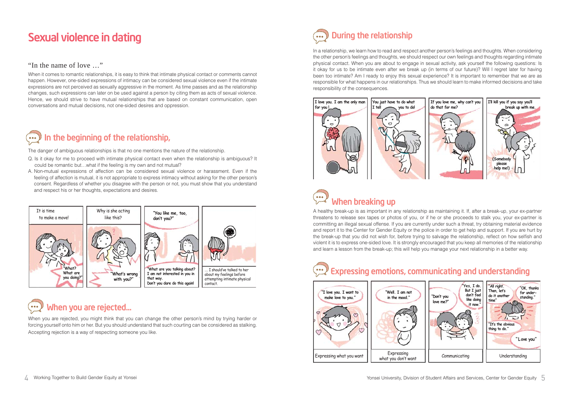# Sexual violence in dating

### "In the name of love …"

When it comes to romantic relationships, it is easy to think that intimate physical contact or comments cannot happen. However, one-sided expressions of intimacy can be considered sexual violence even if the intimate expressions are not perceived as sexually aggressive in the moment. As time passes and as the relationship changes, such expressions can later on be used against a person by citing them as acts of sexual violence. Hence, we should strive to have mutual relationships that are based on constant communication, open conversations and mutual decisions, not one-sided desires and oppression.

#### In the beginning of the relationship,  $\bullet \bullet \bullet$

The danger of ambiguous relationships is that no one mentions the nature of the relationship.

- Q. Is it okay for me to proceed with intimate physical contact even when the relationship is ambiguous? It could be romantic but…what if the feeling is my own and not mutual?
- A. Non-mutual expressions of affection can be considered sexual violence or harassment. Even if the feeling of affection is mutual, it is not appropriate to express intimacy without asking for the other person's consent. Regardless of whether you disagree with the person or not, you must show that you understand and respect his or her thoughts, expectations and desires.



## When you are rejected...  $\bullet \bullet \bullet$

When you are rejected, you might think that you can change the other person's mind by trying harder or forcing yourself onto him or her. But you should understand that such courting can be considered as stalking. Accepting rejection is a way of respecting someone you like.

## During the relationship  $\bullet \bullet \bullet$

In a relationship, we learn how to read and respect another person's feelings and thoughts. When considering the other person's feelings and thoughts, we should respect our own feelings and thoughts regarding intimate physical contact. When you are about to engage in sexual activity, ask yourself the following questions: Is it okay for us to be intimate even after we break up (in terms of our future)? Will I regret later for having been too intimate? Am I ready to enjoy this sexual experience? It is important to remember that we are as responsible for what happens in our relationships. Thus we should learn to make informed decisions and take responsibility of the consequences.



## $\begin{array}{c} \circ \\ \circ \\ \circ \end{array}$ When breaking up

A healthy break-up is as important in any relationship as maintaining it. If, after a break-up, your ex-partner threatens to release sex tapes or photos of you, or if he or she proceeds to stalk you, your ex-partner is committing an illegal sexual offense. If you are currently under such a threat, try obtaining material evidence and report it to the Center for Gender Equity or the police in order to get help and support. If you are hurt by the break-up that you did not wish for, before trying to salvage the relationship, reflect on how selfish and violent it is to express one-sided love. It is strongly encouraged that you keep all memories of the relationship and learn a lesson from the break-up; this will help you manage your next relationship in a better way.

# Expressing emotions, communicating and understanding

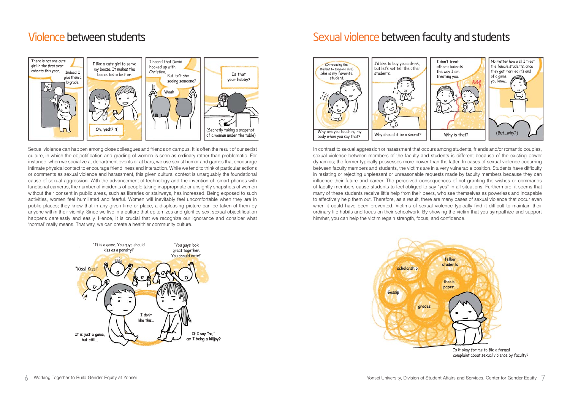# Violence between students



Sexual violence can happen among close colleagues and friends on campus. It is often the result of our sexist culture, in which the objectification and grading of women is seen as ordinary rather than problematic. For instance, when we socialize at department events or at bars, we use sexist humor and games that encourage intimate physical contact to encourage friendliness and interaction. While we tend to think of particular actions or comments as sexual violence and harassment, this given cultural context is unarguably the foundational cause of sexual aggression. With the advancement of technology and the invention of smart phones with functional cameras, the number of incidents of people taking inappropriate or unsightly snapshots of women without their consent in public areas, such as libraries or stairways, has increased. Being exposed to such activities, women feel humiliated and fearful. Women will inevitably feel uncomfortable when they are in public places; they know that in any given time or place, a displeasing picture can be taken of them by anvone within their vicinity. Since we live in a culture that epitomizes and glorifies sex, sexual objectification happens carelessly and easily. Hence, it is crucial that we recognize our ignorance and consider what 'normal' really means. That way, we can create a healthier community culture.



# Sexual violence between faculty and students



In contrast to sexual aggression or harassment that occurs among students, friends and/or romantic couples, sexual violence between members of the faculty and students is different because of the existing power dynamics; the former typically possesses more power than the latter. In cases of sexual violence occurring between faculty members and students, the victims are in a very vulnerable position. Students have difficulty in resisting or rejecting unpleasant or unreasonable requests made by faculty members because they can influence their future and career. The perceived consequences of not granting the wishes or commands of faculty members cause students to feel obliged to say "yes" in all situations. Furthermore, it seems that many of these students receive little help from their peers, who see themselves as powerless and incapable to effectively help them out. Therefore, as a result, there are many cases of sexual violence that occur even when it could have been prevented. Victims of sexual violence typically find it difficult to maintain their ordinary life habits and focus on their schoolwork. By showing the victim that you sympathize and support him/her, you can help the victim regain strength, focus, and confidence.

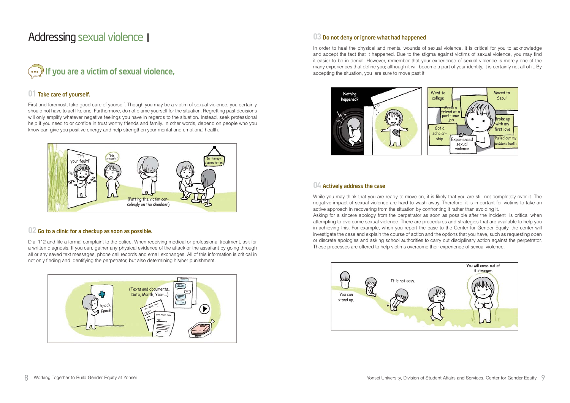# Addressing sexual violenceⅠ

# $\bigcirc$  If you are a victim of sexual violence,

## **01** Take care of yourself.

First and foremost, take good care of yourself. Though you may be a victim of sexual violence, you certainly should not have to act like one. Furthermore, do not blame vourself for the situation. Regretting past decisions will only amplify whatever negative feelings you have in regards to the situation. Instead, seek professional help if you need to or confide in trust worthy friends and family. In other words, depend on people who you know can give you positive energy and help strengthen your mental and emotional health.



### **02** Go to a clinic for a checkup as soon as possible.

Dial 112 and file a formal complaint to the police. When receiving medical or professional treatment, ask for a written diagnosis. If you can, gather any physical evidence of the attack or the assailant by going through all or any saved text messages, phone call records and email exchanges. All of this information is critical in not only finding and identifying the perpetrator, but also determining his/her punishment.



## **03** Do not deny or ignore what had happened

In order to heal the physical and mental wounds of sexual violence, it is critical for you to acknowledge and accept the fact that it happened. Due to the stigma against victims of sexual violence, vou may find it easier to be in denial. However, remember that your experience of sexual violence is merely one of the many experiences that define you; although it will become a part of your identity, it is certainly not all of it. By accepting the situation, you are sure to move past it.



## **04** Actively address the case

While you may think that you are ready to move on, it is likely that you are still not completely over it. The negative impact of sexual violence are hard to wash away. Therefore, it is important for victims to take an active approach in recovering from the situation by confronting it rather than avoiding it.

Asking for a sincere apology from the perpetrator as soon as possible after the incident is critical when attempting to overcome sexual violence. There are procedures and strategies that are available to help you in achieving this. For example, when you report the case to the Center for Gender Equity, the center will investigate the case and explain the course of action and the options that you have, such as requesting open or discrete apologies and asking school authorities to carry out disciplinary action against the perpetrator. These processes are offered to help victims overcome their experience of sexual violence.

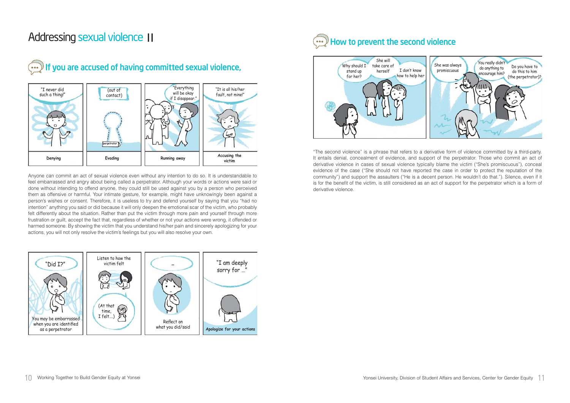# Addressing sexual violence Ⅱ



#### If you are accused of having committed sexual violence, ້ິິ

Anvone can commit an act of sexual violence even without any intention to do so. It is understandable to feel embarrassed and angry about being called a perpetrator. Although your words or actions were said or done without intending to offend anyone, they could still be used against you by a person who perceived them as offensive or harmful. Your intimate gesture, for example, might have unknowingly been against a person's wishes or consent. Therefore, it is useless to try and defend yourself by saying that you "had no intention" anything you said or did because it will only deepen the emotional scar of the victim, who probably felt differently about the situation. Rather than put the victim through more pain and yourself through more frustration or guilt, accept the fact that, regardless of whether or not your actions were wrong, it offended or harmed someone. By showing the victim that you understand his/her pain and sincerely apologizing for your actions, you will not only resolve the victim's feelings but you will also resolve your own.



# $\widehat{\cdots}$  How to prevent the second violence



"The second violence" is a phrase that refers to a derivative form of violence committed by a third-party. It entails denial, concealment of evidence, and support of the perpetrator. Those who commit an act of derivative violence in cases of sexual violence typically blame the victim ("She's promiscuous"), conceal evidence of the case ("She should not have reported the case in order to protect the reputation of the community") and support the assaulters ("He is a decent person. He wouldn't do that."). Silence, even if it is for the benefit of the victim, is still considered as an act of support for the perpetrator which is a form of derivative violence.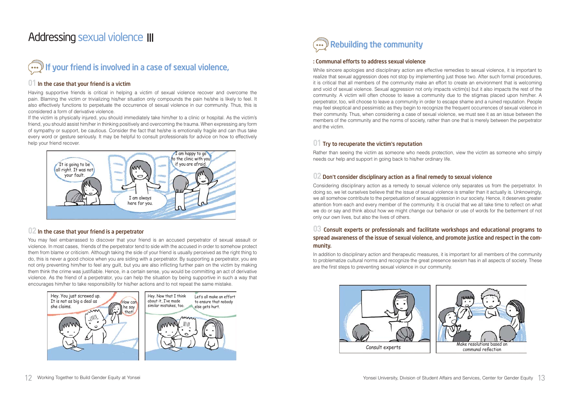# Addressing sexual violence Ⅲ



### **01** In the case that your friend is a victim

Having supportive friends is critical in helping a victim of sexual violence recover and overcome the pain. Blaming the victim or trivializing his/her situation only compounds the pain he/she is likely to feel. It also effectively functions to perpetuate the occurrence of sexual violence in our community. Thus, this is considered a form of derivative violence.

If the victim is physically injured, you should immediately take him/her to a clinic or hospital. As the victim's friend, you should assist him/her in thinking positively and overcoming the trauma. When expressing any form of sympathy or support, be cautious. Consider the fact that he/she is emotionally fragile and can thus take every word or gesture seriously. It may be helpful to consult professionals for advice on how to effectively help your friend recover.



### **02** In the case that your friend is a perpetrator

You may feel embarrassed to discover that your friend is an accused perpetrator of sexual assault or violence. In most cases, friends of the perpetrator tend to side with the accused in order to somehow protect them from blame or criticism. Although taking the side of your friend is usually perceived as the right thing to do, this is never a good choice when you are siding with a perpetrator. By supporting a perpetrator, you are not only preventing him/her to feel any guilt, but you are also inflicting further pain on the victim by making them think the crime was justifiable. Hence, in a certain sense, you would be committing an act of derivative violence. As the friend of a perpetrator, you can help the situation by being supportive in such a way that encourages him/her to take responsibility for his/her actions and to not repeat the same mistake.





#### : Communal efforts to address sexual violence

While sincere apologies and disciplinary action are effective remedies to sexual violence, it is important to realize that sexual aggression does not stop by implementing just those two. After such formal procedures, it is critical that all members of the community make an effort to create an environment that is welcoming and void of sexual violence. Sexual aggression not only impacts victim(s) but it also impacts the rest of the community. A victim will often choose to leave a community due to the stigmas placed upon him/her. A perpetrator, too, will choose to leave a community in order to escape shame and a ruined reputation. People may feel skeptical and pessimistic as they begin to recognize the frequent occurrences of sexual violence in their community. Thus, when considering a case of sexual violence, we must see it as an issue between the members of the community and the norms of society, rather than one that is merely between the perpetrator and the victim.

## **01** Try to recuperate the victim**'**s reputation

Rather than seeing the victim as someone who needs protection, view the victim as someone who simply needs our help and support in going back to his/her ordinary life.

### $02$  Don't consider disciplinary action as a final remedy to sexual violence

Considering disciplinary action as a remedy to sexual violence only separates us from the perpetrator. In doing so, we let ourselves believe that the issue of sexual violence is smaller than it actually is. Unknowingly, we all somehow contribute to the perpetuation of sexual aggression in our society. Hence, it deserves greater attention from each and every member of the community. It is crucial that we all take time to reflect on what we do or say and think about how we might change our behavior or use of words for the betterment of not only our own lives, but also the lives of others.

### **03** Consult experts or professionals and facilitate workshops and educational programs to spread awareness of the issue of sexual violence, and promote justice and respect in the community.

In addition to disciplinary action and therapeutic measures, it is important for all members of the community to problematize cultural norms and recognize the great presence sexism has in all aspects of society. These are the first steps to preventing sexual violence in our community.